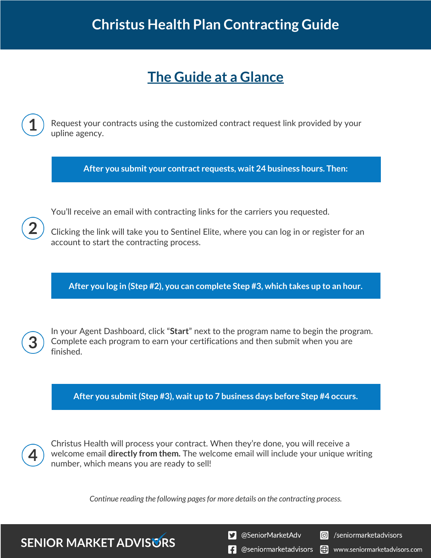## **The Guide at a Glance**

Request your contracts using the customized contract request link provided by your upline agency.

**After you submit your contract requests, wait 24 business hours. Then:**

You'll receive an email with contracting links for the carriers you requested.

Clicking the link will take you to Sentinel Elite, where you can log in or register for an account to start the contracting process.

**After you log in (Step #2), you can complete Step #3, which takes up to an hour.**

In your Agent Dashboard, click "**Start**" next to the program name to begin the program. Complete each program to earn your certifications and then submit when you are finished.

**After you submit (Step #3), wait up to 7 business days before Step #4 occurs.**

Christus Health will process your contract. When they're done, you will receive a welcome email **directly from them.** The welcome email will include your unique writing number, which means you are ready to sell!

*Continue reading the following pages for more details on the contracting process.*

**SENIOR MARKET ADVISURS** 

S @SeniorMarketAdv

**6** /seniormarketadvisors

 $\left| \cdot \right|$  @seniormarketadvisors  $\bigoplus$  www.seniormarketadvisors.com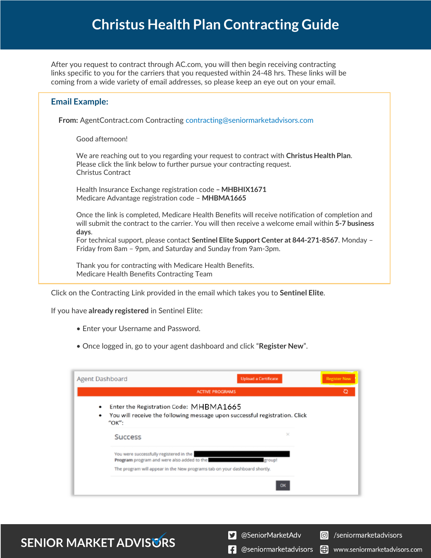## **Christus Health Plan Contracting Guide**

After you request to contract through AC.com, you will then begin receiving contracting links specific to you for the carriers that you requested within 24-48 hrs. These links will be coming from a wide variety of email addresses, so please keep an eye out on your email.

| <b>Email Example:</b>                                                                                                                                                                                           |  |  |  |  |  |
|-----------------------------------------------------------------------------------------------------------------------------------------------------------------------------------------------------------------|--|--|--|--|--|
| <b>From:</b> AgentContract.com Contracting contracting@seniormarketadvisors.com                                                                                                                                 |  |  |  |  |  |
| Good afternoon!                                                                                                                                                                                                 |  |  |  |  |  |
| We are reaching out to you regarding your request to contract with Christus Health Plan.<br>Please click the link below to further pursue your contracting request.<br>Christus Contract                        |  |  |  |  |  |
| Health Insurance Exchange registration code - MHBHIX1671<br>Medicare Advantage registration code - MHBMA1665                                                                                                    |  |  |  |  |  |
| Once the link is completed, Medicare Health Benefits will receive notification of completion and<br>will submit the contract to the carrier. You will then receive a welcome email within 5-7 business<br>days. |  |  |  |  |  |
| For technical support, please contact Sentinel Elite Support Center at 844-271-8567. Monday -<br>Friday from 8am - 9pm, and Saturday and Sunday from 9am-3pm.                                                   |  |  |  |  |  |
| Thank you for contracting with Medicare Health Benefits.<br>Medicare Health Benefits Contracting Team                                                                                                           |  |  |  |  |  |

Click on the Contracting Link provided in the email which takes you to **Sentinel Elite**.

If you have **already registered** in Sentinel Elite:

- Enter your Username and Password.
- Once logged in, go to your agent dashboard and click "**Register New**".

| <b>Agent Dashboard</b> | <b>Upload a Certificate</b>                                                                                                   | <b>Register New</b> |
|------------------------|-------------------------------------------------------------------------------------------------------------------------------|---------------------|
|                        | <b>ACTIVE PROGRAMS</b>                                                                                                        | Q                   |
| $\bullet$<br>٠         | Enter the Registration Code: MHBMA1665<br>You will receive the following message upon successful registration. Click<br>"OK": |                     |
|                        | $\times$<br><b>Success</b>                                                                                                    |                     |
|                        | You were successfully registered in the<br>Program program and were also added to the<br>group!                               |                     |
|                        | The program will appear in the New programs tab on your dashboard shortly.                                                    |                     |
|                        | OK                                                                                                                            |                     |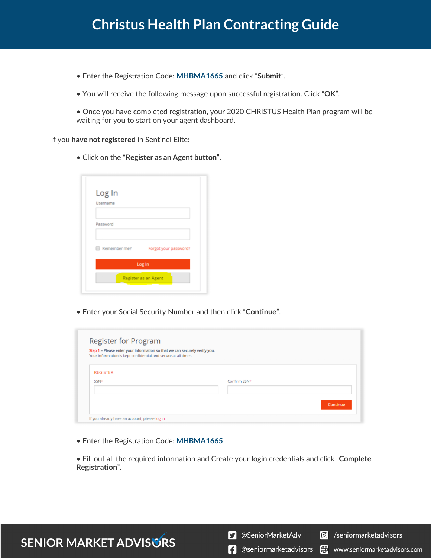## **Christus Health Plan Contracting Guide**

- Enter the Registration Code: **MHBMA1665** and click "**Submit**".
- You will receive the following message upon successful registration. Click "**OK**".
- Once you have completed registration, your 2020 CHRISTUS Health Plan program will be waiting for you to start on your agent dashboard.

If you **have not registered** in Sentinel Elite:

• Click on the "**Register as an Agent button**".

| Log In<br>Username   |                       |  |  |
|----------------------|-----------------------|--|--|
| Password             |                       |  |  |
| Remember me?         | Forgot your password? |  |  |
| Log In               |                       |  |  |
| Register as an Agent |                       |  |  |

• Enter your Social Security Number and then click "**Continue**".

| Step 1 - Please enter your information so that we can securely verify you. |              |          |
|----------------------------------------------------------------------------|--------------|----------|
| Your information is kept confidential and secure at all times.             |              |          |
|                                                                            |              |          |
| <b>REGISTER</b>                                                            |              |          |
| SSN <sup>*</sup>                                                           | Confirm SSN* |          |
|                                                                            |              |          |
|                                                                            |              |          |
|                                                                            |              | Continue |

• Enter the Registration Code: **MHBMA1665**

• Fill out all the required information and Create your login credentials and click "**Complete Registration**".

S @SeniorMarketAdv